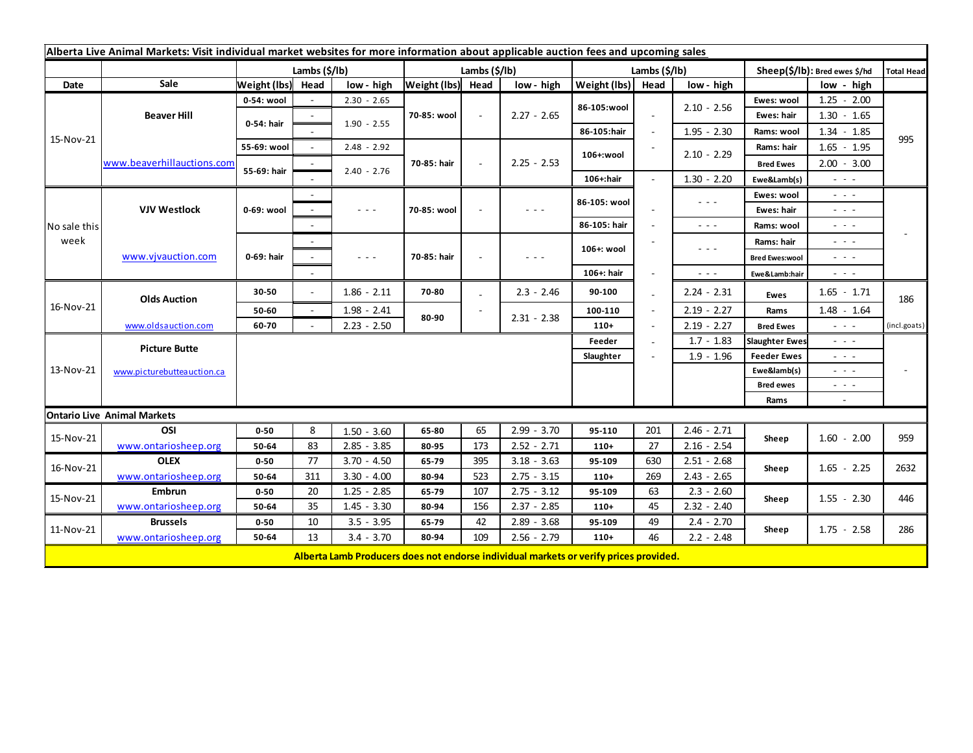| Alberta Live Animal Markets: Visit individual market websites for more information about applicable auction fees and upcoming sales |                            |                   |        |                                                                                                                           |               |        |                                                                                                |               |      |                                                                                                                        |                               |                                                                                                                           |              |
|-------------------------------------------------------------------------------------------------------------------------------------|----------------------------|-------------------|--------|---------------------------------------------------------------------------------------------------------------------------|---------------|--------|------------------------------------------------------------------------------------------------|---------------|------|------------------------------------------------------------------------------------------------------------------------|-------------------------------|---------------------------------------------------------------------------------------------------------------------------|--------------|
|                                                                                                                                     |                            | Lambs (\$/lb)     |        |                                                                                                                           | Lambs (\$/lb) |        |                                                                                                | Lambs (\$/lb) |      |                                                                                                                        | Sheep(\$/lb): Bred ewes \$/hd |                                                                                                                           | Total Head   |
| Date                                                                                                                                | Sale                       | Weight (lbs) Head |        | low - high                                                                                                                | Weight (lbs)  | Head   | low - high                                                                                     | Weight (lbs)  | Head | low - high                                                                                                             |                               | low - high                                                                                                                |              |
| 15-Nov-21                                                                                                                           | <b>Beaver Hill</b>         | 0-54: wool        |        | $2.30 - 2.65$                                                                                                             | 70-85: wool   | $\sim$ | $2.27 - 2.65$                                                                                  | 86-105:wool   |      | $2.10 - 2.56$                                                                                                          | Ewes: wool                    | $1.25 - 2.00$                                                                                                             |              |
|                                                                                                                                     |                            | 0-54: hair        |        |                                                                                                                           |               |        |                                                                                                |               |      |                                                                                                                        | Ewes: hair                    | $1.30 - 1.65$                                                                                                             |              |
|                                                                                                                                     |                            |                   |        | $1.90 - 2.55$                                                                                                             |               |        |                                                                                                | 86-105:hair   |      | $1.95 - 2.30$                                                                                                          | Rams: wool                    | $1.34 - 1.85$                                                                                                             |              |
|                                                                                                                                     | www.beaverhillauctions.com | 55-69: wool       | $\sim$ | $2.48 - 2.92$                                                                                                             |               | $\sim$ | $2.25 - 2.53$                                                                                  | 106+:wool     |      | $2.10 - 2.29$                                                                                                          | Rams: hair                    | $1.65 - 1.95$                                                                                                             | 995          |
|                                                                                                                                     |                            | 55-69: hair       |        |                                                                                                                           | 70-85: hair   |        |                                                                                                |               |      |                                                                                                                        | <b>Bred Ewes</b>              | $2.00 - 3.00$                                                                                                             |              |
|                                                                                                                                     |                            |                   |        | $2.40 - 2.76$                                                                                                             |               |        |                                                                                                | 106+:hair     |      | $1.30 - 2.20$                                                                                                          | Ewe&Lamb(s)                   | $\sim$ 10 $\sim$                                                                                                          |              |
| No sale this<br>week                                                                                                                | <b>VJV Westlock</b>        | 0-69: wool        |        |                                                                                                                           |               |        | $\frac{1}{2} \left( \frac{1}{2} \right) \left( \frac{1}{2} \right) \left( \frac{1}{2} \right)$ | 86-105: wool  |      | $\sim$ $\sim$ $\sim$                                                                                                   | Ewes: wool                    | $\sim$ $\sim$ $\sim$                                                                                                      |              |
|                                                                                                                                     |                            |                   |        | $\frac{1}{2} \left( \frac{1}{2} \right) \frac{1}{2} \left( \frac{1}{2} \right) \frac{1}{2} \left( \frac{1}{2} \right)$    | 70-85: wool   |        |                                                                                                |               |      |                                                                                                                        | Ewes: hair                    | $\frac{1}{2} \left( \frac{1}{2} \right) \left( \frac{1}{2} \right) \left( \frac{1}{2} \right)$                            |              |
|                                                                                                                                     |                            |                   |        |                                                                                                                           |               |        |                                                                                                | 86-105: hair  |      | $\sim$ $\sim$ $\sim$                                                                                                   | Rams: wool                    | $\frac{1}{2} \left( \frac{1}{2} \right) \frac{1}{2} \left( \frac{1}{2} \right) \frac{1}{2} \left( \frac{1}{2} \right)$    |              |
|                                                                                                                                     | www.vjvauction.com         | 0-69: hair        |        |                                                                                                                           |               |        | $\sim$ $\sim$ $\sim$                                                                           | 106+: wool    |      | $\frac{1}{2} \left( \frac{1}{2} \right) \frac{1}{2} \left( \frac{1}{2} \right) \frac{1}{2} \left( \frac{1}{2} \right)$ | Rams: hair                    | $\frac{1}{2} \left( \frac{1}{2} \right) \left( \frac{1}{2} \right) \left( \frac{1}{2} \right) \left( \frac{1}{2} \right)$ |              |
|                                                                                                                                     |                            |                   | $\sim$ | $\frac{1}{2} \left( \frac{1}{2} \right) \left( \frac{1}{2} \right) \left( \frac{1}{2} \right) \left( \frac{1}{2} \right)$ | 70-85: hair   |        |                                                                                                |               |      |                                                                                                                        | <b>Bred Ewes:wool</b>         | $\frac{1}{2} \left( \frac{1}{2} \right) \frac{1}{2} \left( \frac{1}{2} \right) \frac{1}{2} \left( \frac{1}{2} \right)$    |              |
|                                                                                                                                     |                            |                   |        |                                                                                                                           |               |        |                                                                                                | 106+: hair    |      | $\sim$ $\sim$ $\sim$                                                                                                   | Ewe&Lamb:hair                 | $  -$                                                                                                                     |              |
| 16-Nov-21                                                                                                                           | <b>Olds Auction</b>        | 30-50             | $\sim$ | $1.86 - 2.11$                                                                                                             | 70-80         |        | $2.3 - 2.46$                                                                                   | 90-100        |      | $2.24 - 2.31$                                                                                                          | Ewes                          | $1.65 - 1.71$                                                                                                             | 186          |
|                                                                                                                                     |                            | 50-60             | $\sim$ | $1.98 - 2.41$                                                                                                             |               |        |                                                                                                | 100-110       |      | $2.19 - 2.27$                                                                                                          | Rams                          | $1.48 - 1.64$                                                                                                             |              |
|                                                                                                                                     | www.oldsauction.com        | 60-70             |        | $2.23 - 2.50$                                                                                                             | 80-90         |        | $2.31 - 2.38$                                                                                  | $110+$        |      | $2.19 - 2.27$                                                                                                          | <b>Bred Ewes</b>              | $\sim$ $\sim$ $\sim$                                                                                                      | (incl.goats) |
| 13-Nov-21                                                                                                                           | <b>Picture Butte</b>       |                   |        |                                                                                                                           |               |        |                                                                                                | Feeder        |      | $1.7 - 1.83$                                                                                                           | <b>Slaughter Ewes</b>         | $\frac{1}{2} \left( \frac{1}{2} \right) \left( \frac{1}{2} \right) \left( \frac{1}{2} \right) \left( \frac{1}{2} \right)$ |              |
|                                                                                                                                     |                            | Slaughter         |        |                                                                                                                           |               |        |                                                                                                |               |      | $1.9 - 1.96$                                                                                                           | <b>Feeder Ewes</b>            | $\frac{1}{2} \left( \frac{1}{2} \right) \frac{1}{2} \left( \frac{1}{2} \right) \frac{1}{2} \left( \frac{1}{2} \right)$    |              |
|                                                                                                                                     | www.picturebutteauction.ca |                   |        |                                                                                                                           |               |        |                                                                                                |               |      |                                                                                                                        | Ewe&lamb(s)                   | $\sim$ 100 $\pm$                                                                                                          |              |
|                                                                                                                                     |                            |                   |        |                                                                                                                           |               |        |                                                                                                |               |      |                                                                                                                        | <b>Bred ewes</b>              | $\frac{1}{2} \left( \frac{1}{2} \right) \left( \frac{1}{2} \right) \left( \frac{1}{2} \right) \left( \frac{1}{2} \right)$ |              |
|                                                                                                                                     |                            |                   |        |                                                                                                                           |               |        |                                                                                                |               |      |                                                                                                                        | Rams                          | $\sim$                                                                                                                    |              |
| <b>Ontario Live Animal Markets</b>                                                                                                  |                            |                   |        |                                                                                                                           |               |        |                                                                                                |               |      |                                                                                                                        |                               |                                                                                                                           |              |
| 15-Nov-21                                                                                                                           | OSI                        | $0 - 50$          | 8      | $1.50 - 3.60$                                                                                                             | 65-80         | 65     | $2.99 - 3.70$                                                                                  | 95-110        | 201  | $2.46 - 2.71$                                                                                                          | Sheep                         | $1.60 - 2.00$                                                                                                             | 959          |
|                                                                                                                                     | www.ontariosheep.org       | 50-64             | 83     | $2.85 - 3.85$                                                                                                             | 80-95         | 173    | $2.52 - 2.71$                                                                                  | $110+$        | 27   | $2.16 - 2.54$                                                                                                          |                               |                                                                                                                           |              |
| 16-Nov-21                                                                                                                           | <b>OLEX</b>                | $0 - 50$          | 77     | $3.70 - 4.50$                                                                                                             | 65-79         | 395    | $3.18 - 3.63$                                                                                  | 95-109        | 630  | $2.51 - 2.68$                                                                                                          | Sheep                         | $1.65 - 2.25$                                                                                                             | 2632         |
|                                                                                                                                     | www.ontariosheep.org       | 50-64             | 311    | $3.30 - 4.00$                                                                                                             | 80-94         | 523    | $2.75 - 3.15$                                                                                  | $110+$        | 269  | $2.43 - 2.65$                                                                                                          |                               |                                                                                                                           |              |
| 15-Nov-21                                                                                                                           | <b>Embrun</b>              | $0 - 50$          | 20     | $1.25 - 2.85$                                                                                                             | 65-79         | 107    | $2.75 - 3.12$                                                                                  | 95-109        | 63   | $2.3 - 2.60$                                                                                                           | Sheep                         | $1.55 - 2.30$                                                                                                             | 446          |
|                                                                                                                                     | www.ontariosheep.org       | 50-64             | 35     | $1.45 - 3.30$                                                                                                             | 80-94         | 156    | $2.37 - 2.85$                                                                                  | $110+$        | 45   | $2.32 - 2.40$                                                                                                          |                               |                                                                                                                           |              |
| 11-Nov-21                                                                                                                           | <b>Brussels</b>            | $0 - 50$          | 10     | $3.5 - 3.95$                                                                                                              | 65-79         | 42     | $2.89 - 3.68$                                                                                  | 95-109        | 49   | $2.4 - 2.70$                                                                                                           | Sheep                         | $1.75 - 2.58$                                                                                                             | 286          |
|                                                                                                                                     | www.ontariosheep.org       | 50-64             | 13     | $3.4 - 3.70$                                                                                                              | 80-94         | 109    | $2.56 - 2.79$                                                                                  | $110+$        | 46   | $2.2 - 2.48$                                                                                                           |                               |                                                                                                                           |              |
|                                                                                                                                     |                            |                   |        | Alberta Lamb Producers does not endorse individual markets or verify prices provided.                                     |               |        |                                                                                                |               |      |                                                                                                                        |                               |                                                                                                                           |              |